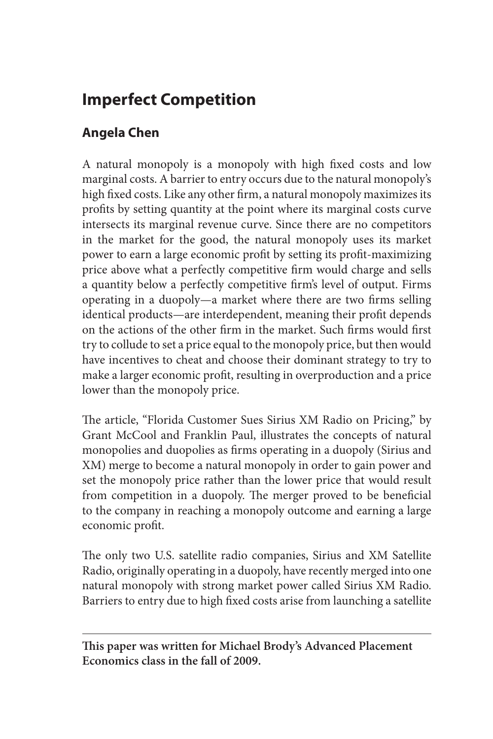## **Imperfect Competition**

## **Angela Chen**

A natural monopoly is a monopoly with high fixed costs and low marginal costs. A barrier to entry occurs due to the natural monopoly's high fixed costs. Like any other firm, a natural monopoly maximizes its profits by setting quantity at the point where its marginal costs curve intersects its marginal revenue curve. Since there are no competitors in the market for the good, the natural monopoly uses its market power to earn a large economic profit by setting its profit-maximizing price above what a perfectly competitive firm would charge and sells a quantity below a perfectly competitive firm's level of output. Firms operating in a duopoly—a market where there are two firms selling identical products—are interdependent, meaning their profit depends on the actions of the other firm in the market. Such firms would first try to collude to set a price equal to the monopoly price, but then would have incentives to cheat and choose their dominant strategy to try to make a larger economic profit, resulting in overproduction and a price lower than the monopoly price.

The article, "Florida Customer Sues Sirius XM Radio on Pricing," by Grant McCool and Franklin Paul, illustrates the concepts of natural monopolies and duopolies as firms operating in a duopoly (Sirius and XM) merge to become a natural monopoly in order to gain power and set the monopoly price rather than the lower price that would result from competition in a duopoly. The merger proved to be beneficial to the company in reaching a monopoly outcome and earning a large economic profit.

The only two U.S. satellite radio companies, Sirius and XM Satellite Radio, originally operating in a duopoly, have recently merged into one natural monopoly with strong market power called Sirius XM Radio. Barriers to entry due to high fixed costs arise from launching a satellite

**This paper was written for Michael Brody's Advanced Placement Economics class in the fall of 2009.**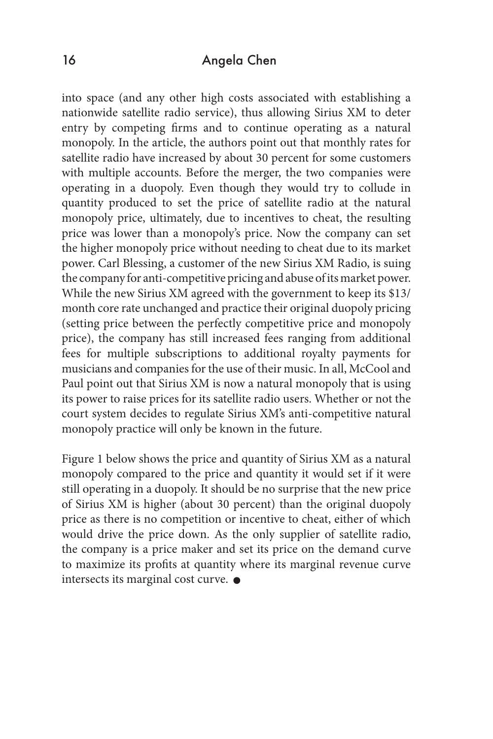## 16 Angela Chen

into space (and any other high costs associated with establishing a nationwide satellite radio service), thus allowing Sirius XM to deter entry by competing firms and to continue operating as a natural monopoly. In the article, the authors point out that monthly rates for satellite radio have increased by about 30 percent for some customers with multiple accounts. Before the merger, the two companies were operating in a duopoly. Even though they would try to collude in quantity produced to set the price of satellite radio at the natural monopoly price, ultimately, due to incentives to cheat, the resulting price was lower than a monopoly's price. Now the company can set the higher monopoly price without needing to cheat due to its market power. Carl Blessing, a customer of the new Sirius XM Radio, is suing the company for anti-competitive pricing and abuse of its market power. While the new Sirius XM agreed with the government to keep its \$13/ month core rate unchanged and practice their original duopoly pricing (setting price between the perfectly competitive price and monopoly price), the company has still increased fees ranging from additional fees for multiple subscriptions to additional royalty payments for musicians and companies for the use of their music. In all, McCool and Paul point out that Sirius XM is now a natural monopoly that is using its power to raise prices for its satellite radio users. Whether or not the court system decides to regulate Sirius XM's anti-competitive natural monopoly practice will only be known in the future.

Figure 1 below shows the price and quantity of Sirius XM as a natural monopoly compared to the price and quantity it would set if it were still operating in a duopoly. It should be no surprise that the new price of Sirius XM is higher (about 30 percent) than the original duopoly price as there is no competition or incentive to cheat, either of which would drive the price down. As the only supplier of satellite radio, the company is a price maker and set its price on the demand curve to maximize its profits at quantity where its marginal revenue curve intersects its marginal cost curve.